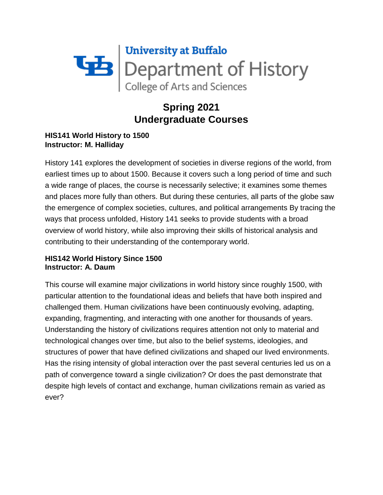

# **Spring 2021 Undergraduate Courses**

# **HIS141 World History to 1500 Instructor: M. Halliday**

History 141 explores the development of societies in diverse regions of the world, from earliest times up to about 1500. Because it covers such a long period of time and such a wide range of places, the course is necessarily selective; it examines some themes and places more fully than others. But during these centuries, all parts of the globe saw the emergence of complex societies, cultures, and political arrangements By tracing the ways that process unfolded, History 141 seeks to provide students with a broad overview of world history, while also improving their skills of historical analysis and contributing to their understanding of the contemporary world.

# **HIS142 World History Since 1500 Instructor: A. Daum**

This course will examine major civilizations in world history since roughly 1500, with particular attention to the foundational ideas and beliefs that have both inspired and challenged them. Human civilizations have been continuously evolving, adapting, expanding, fragmenting, and interacting with one another for thousands of years. Understanding the history of civilizations requires attention not only to material and technological changes over time, but also to the belief systems, ideologies, and structures of power that have defined civilizations and shaped our lived environments. Has the rising intensity of global interaction over the past several centuries led us on a path of convergence toward a single civilization? Or does the past demonstrate that despite high levels of contact and exchange, human civilizations remain as varied as ever?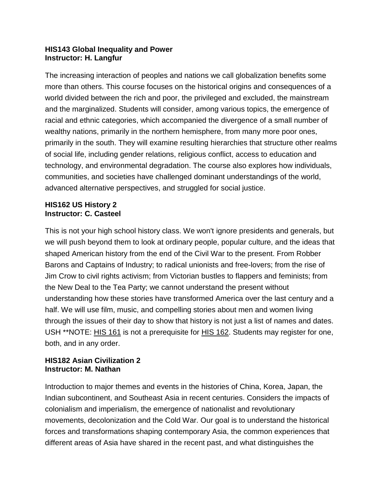## **HIS143 Global Inequality and Power Instructor: H. Langfur**

The increasing interaction of peoples and nations we call globalization benefits some more than others. This course focuses on the historical origins and consequences of a world divided between the rich and poor, the privileged and excluded, the mainstream and the marginalized. Students will consider, among various topics, the emergence of racial and ethnic categories, which accompanied the divergence of a small number of wealthy nations, primarily in the northern hemisphere, from many more poor ones, primarily in the south. They will examine resulting hierarchies that structure other realms of social life, including gender relations, religious conflict, access to education and technology, and environmental degradation. The course also explores how individuals, communities, and societies have challenged dominant understandings of the world, advanced alternative perspectives, and struggled for social justice.

#### **HIS162 US History 2 Instructor: C. Casteel**

This is not your high school history class. We won't ignore presidents and generals, but we will push beyond them to look at ordinary people, popular culture, and the ideas that shaped American history from the end of the Civil War to the present. From Robber Barons and Captains of Industry; to radical unionists and free-lovers; from the rise of Jim Crow to civil rights activism; from Victorian bustles to flappers and feminists; from the New Deal to the Tea Party; we cannot understand the present without understanding how these stories have transformed America over the last century and a half. We will use film, music, and compelling stories about men and women living through the issues of their day to show that history is not just a list of names and dates. USH \*\*NOTE: HIS [161](https://catalog.buffalo.edu/courses/?abbr=HIS&num=161) is not a prerequisite for HIS [162.](https://catalog.buffalo.edu/courses/?abbr=HIS&num=162) Students may register for one, both, and in any order.

#### **HIS182 Asian Civilization 2 Instructor: M. Nathan**

Introduction to major themes and events in the histories of China, Korea, Japan, the Indian subcontinent, and Southeast Asia in recent centuries. Considers the impacts of colonialism and imperialism, the emergence of nationalist and revolutionary movements, decolonization and the Cold War. Our goal is to understand the historical forces and transformations shaping contemporary Asia, the common experiences that different areas of Asia have shared in the recent past, and what distinguishes the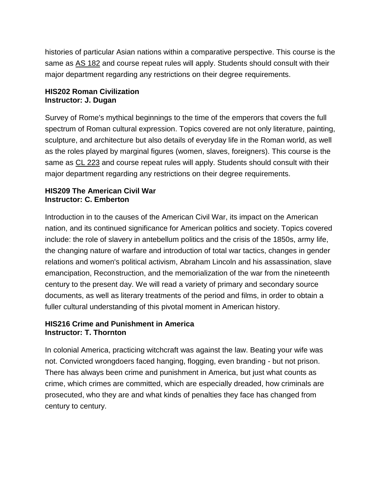histories of particular Asian nations within a comparative perspective. This course is the same as AS [182](https://catalog.buffalo.edu/courses/?abbr=AS&num=182) and course repeat rules will apply. Students should consult with their major department regarding any restrictions on their degree requirements.

#### **HIS202 Roman Civilization Instructor: J. Dugan**

Survey of Rome's mythical beginnings to the time of the emperors that covers the full spectrum of Roman cultural expression. Topics covered are not only literature, painting, sculpture, and architecture but also details of everyday life in the Roman world, as well as the roles played by marginal figures (women, slaves, foreigners). This course is the same as CL [223](https://catalog.buffalo.edu/courses/?abbr=CL&num=223) and course repeat rules will apply. Students should consult with their major department regarding any restrictions on their degree requirements.

#### **HIS209 The American Civil War Instructor: C. Emberton**

Introduction in to the causes of the American Civil War, its impact on the American nation, and its continued significance for American politics and society. Topics covered include: the role of slavery in antebellum politics and the crisis of the 1850s, army life, the changing nature of warfare and introduction of total war tactics, changes in gender relations and women's political activism, Abraham Lincoln and his assassination, slave emancipation, Reconstruction, and the memorialization of the war from the nineteenth century to the present day. We will read a variety of primary and secondary source documents, as well as literary treatments of the period and films, in order to obtain a fuller cultural understanding of this pivotal moment in American history.

# **HIS216 Crime and Punishment in America Instructor: T. Thornton**

In colonial America, practicing witchcraft was against the law. Beating your wife was not. Convicted wrongdoers faced hanging, flogging, even branding - but not prison. There has always been crime and punishment in America, but just what counts as crime, which crimes are committed, which are especially dreaded, how criminals are prosecuted, who they are and what kinds of penalties they face has changed from century to century.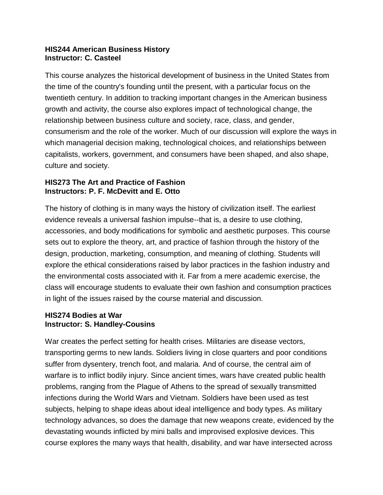#### **HIS244 American Business History Instructor: C. Casteel**

This course analyzes the historical development of business in the United States from the time of the country's founding until the present, with a particular focus on the twentieth century. In addition to tracking important changes in the American business growth and activity, the course also explores impact of technological change, the relationship between business culture and society, race, class, and gender, consumerism and the role of the worker. Much of our discussion will explore the ways in which managerial decision making, technological choices, and relationships between capitalists, workers, government, and consumers have been shaped, and also shape, culture and society.

## **HIS273 The Art and Practice of Fashion Instructors: P. F. McDevitt and E. Otto**

The history of clothing is in many ways the history of civilization itself. The earliest evidence reveals a universal fashion impulse--that is, a desire to use clothing, accessories, and body modifications for symbolic and aesthetic purposes. This course sets out to explore the theory, art, and practice of fashion through the history of the design, production, marketing, consumption, and meaning of clothing. Students will explore the ethical considerations raised by labor practices in the fashion industry and the environmental costs associated with it. Far from a mere academic exercise, the class will encourage students to evaluate their own fashion and consumption practices in light of the issues raised by the course material and discussion.

#### **HIS274 Bodies at War Instructor: S. Handley-Cousins**

War creates the perfect setting for health crises. Militaries are disease vectors, transporting germs to new lands. Soldiers living in close quarters and poor conditions suffer from dysentery, trench foot, and malaria. And of course, the central aim of warfare is to inflict bodily injury. Since ancient times, wars have created public health problems, ranging from the Plague of Athens to the spread of sexually transmitted infections during the World Wars and Vietnam. Soldiers have been used as test subjects, helping to shape ideas about ideal intelligence and body types. As military technology advances, so does the damage that new weapons create, evidenced by the devastating wounds inflicted by mini balls and improvised explosive devices. This course explores the many ways that health, disability, and war have intersected across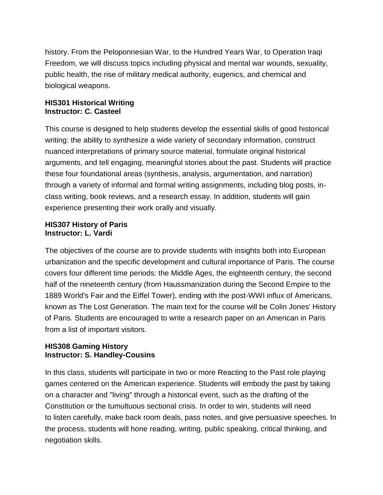history. From the Peloponnesian War, to the Hundred Years War, to Operation Iraqi Freedom, we will discuss topics including physical and mental war wounds, sexuality, public health, the rise of military medical authority, eugenics, and chemical and biological weapons.

#### **HIS301 Historical Writing Instructor: C. Casteel**

This course is designed to help students develop the essential skills of good historical writing: the ability to synthesize a wide variety of secondary information, construct nuanced interpretations of primary source material, formulate original historical arguments, and tell engaging, meaningful stories about the past. Students will practice these four foundational areas (synthesis, analysis, argumentation, and narration) through a variety of informal and formal writing assignments, including blog posts, inclass writing, book reviews, and a research essay. In addition, students will gain experience presenting their work orally and visually.

#### **HIS307 History of Paris Instructor: L. Vardi**

The objectives of the course are to provide students with insights both into European urbanization and the specific development and cultural importance of Paris. The course covers four different time periods: the Middle Ages, the eighteenth century, the second half of the nineteenth century (from Haussmanization during the Second Empire to the 1889 World's Fair and the Eiffel Tower), ending with the post-WWI influx of Americans, known as The Lost Generation. The main text for the course will be Colin Jones' History of Paris. Students are encouraged to write a research paper on an American in Paris from a list of important visitors.

#### **HIS308 Gaming History Instructor: S. Handley-Cousins**

In this class, students will participate in two or more Reacting to the Past role playing games centered on the American experience. Students will embody the past by taking on a character and "living" through a historical event, such as the drafting of the Constitution or the tumultuous sectional crisis. In order to win, students will need to listen carefully, make back room deals, pass notes, and give persuasive speeches. In the process, students will hone reading, writing, public speaking, critical thinking, and negotiation skills.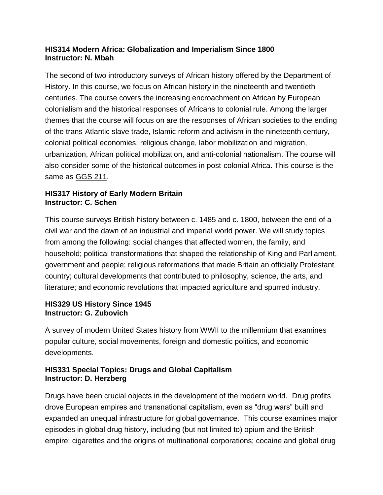# **HIS314 Modern Africa: Globalization and Imperialism Since 1800 Instructor: N. Mbah**

The second of two introductory surveys of African history offered by the Department of History. In this course, we focus on African history in the nineteenth and twentieth centuries. The course covers the increasing encroachment on African by European colonialism and the historical responses of Africans to colonial rule. Among the larger themes that the course will focus on are the responses of African societies to the ending of the trans-Atlantic slave trade, Islamic reform and activism in the nineteenth century, colonial political economies, religious change, labor mobilization and migration, urbanization, African political mobilization, and anti-colonial nationalism. The course will also consider some of the historical outcomes in post-colonial Africa. This course is the same as [GGS](https://catalog.buffalo.edu/courses/?abbr=GGS&num=211) 211.

# **HIS317 History of Early Modern Britain Instructor: C. Schen**

This course surveys British history between c. 1485 and c. 1800, between the end of a civil war and the dawn of an industrial and imperial world power. We will study topics from among the following: social changes that affected women, the family, and household; political transformations that shaped the relationship of King and Parliament, government and people; religious reformations that made Britain an officially Protestant country; cultural developments that contributed to philosophy, science, the arts, and literature; and economic revolutions that impacted agriculture and spurred industry.

# **HIS329 US History Since 1945 Instructor: G. Zubovich**

A survey of modern United States history from WWII to the millennium that examines popular culture, social movements, foreign and domestic politics, and economic developments.

# **HIS331 Special Topics: Drugs and Global Capitalism Instructor: D. Herzberg**

Drugs have been crucial objects in the development of the modern world. Drug profits drove European empires and transnational capitalism, even as "drug wars" built and expanded an unequal infrastructure for global governance. This course examines major episodes in global drug history, including (but not limited to) opium and the British empire; cigarettes and the origins of multinational corporations; cocaine and global drug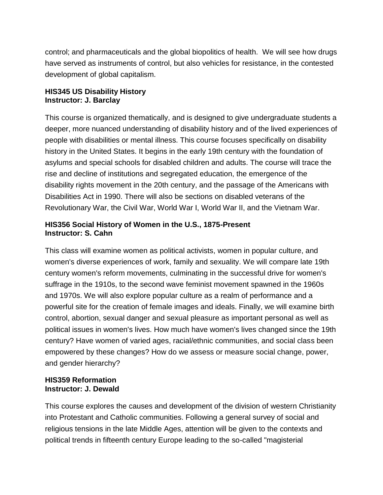control; and pharmaceuticals and the global biopolitics of health. We will see how drugs have served as instruments of control, but also vehicles for resistance, in the contested development of global capitalism.

## **HIS345 US Disability History Instructor: J. Barclay**

This course is organized thematically, and is designed to give undergraduate students a deeper, more nuanced understanding of disability history and of the lived experiences of people with disabilities or mental illness. This course focuses specifically on disability history in the United States. It begins in the early 19th century with the foundation of asylums and special schools for disabled children and adults. The course will trace the rise and decline of institutions and segregated education, the emergence of the disability rights movement in the 20th century, and the passage of the Americans with Disabilities Act in 1990. There will also be sections on disabled veterans of the Revolutionary War, the Civil War, World War I, World War II, and the Vietnam War.

## **HIS356 Social History of Women in the U.S., 1875-Present Instructor: S. Cahn**

This class will examine women as political activists, women in popular culture, and women's diverse experiences of work, family and sexuality. We will compare late 19th century women's reform movements, culminating in the successful drive for women's suffrage in the 1910s, to the second wave feminist movement spawned in the 1960s and 1970s. We will also explore popular culture as a realm of performance and a powerful site for the creation of female images and ideals. Finally, we will examine birth control, abortion, sexual danger and sexual pleasure as important personal as well as political issues in women's lives. How much have women's lives changed since the 19th century? Have women of varied ages, racial/ethnic communities, and social class been empowered by these changes? How do we assess or measure social change, power, and gender hierarchy?

#### **HIS359 Reformation Instructor: J. Dewald**

This course explores the causes and development of the division of western Christianity into Protestant and Catholic communities. Following a general survey of social and religious tensions in the late Middle Ages, attention will be given to the contexts and political trends in fifteenth century Europe leading to the so-called "magisterial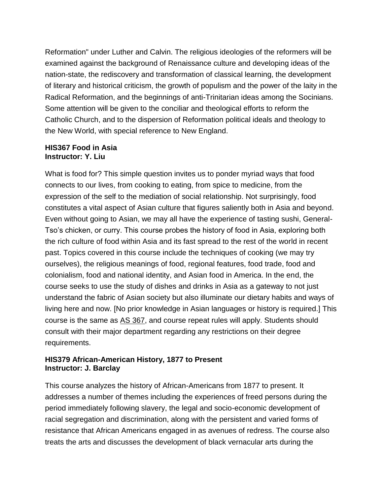Reformation" under Luther and Calvin. The religious ideologies of the reformers will be examined against the background of Renaissance culture and developing ideas of the nation-state, the rediscovery and transformation of classical learning, the development of literary and historical criticism, the growth of populism and the power of the laity in the Radical Reformation, and the beginnings of anti-Trinitarian ideas among the Socinians. Some attention will be given to the conciliar and theological efforts to reform the Catholic Church, and to the dispersion of Reformation political ideals and theology to the New World, with special reference to New England.

#### **HIS367 Food in Asia Instructor: Y. Liu**

What is food for? This simple question invites us to ponder myriad ways that food connects to our lives, from cooking to eating, from spice to medicine, from the expression of the self to the mediation of social relationship. Not surprisingly, food constitutes a vital aspect of Asian culture that figures saliently both in Asia and beyond. Even without going to Asian, we may all have the experience of tasting sushi, General-Tso's chicken, or curry. This course probes the history of food in Asia, exploring both the rich culture of food within Asia and its fast spread to the rest of the world in recent past. Topics covered in this course include the techniques of cooking (we may try ourselves), the religious meanings of food, regional features, food trade, food and colonialism, food and national identity, and Asian food in America. In the end, the course seeks to use the study of dishes and drinks in Asia as a gateway to not just understand the fabric of Asian society but also illuminate our dietary habits and ways of living here and now. [No prior knowledge in Asian languages or history is required.] This course is the same as AS [367,](https://catalog.buffalo.edu/courses/?abbr=AS&num=367) and course repeat rules will apply. Students should consult with their major department regarding any restrictions on their degree requirements.

#### **HIS379 African-American History, 1877 to Present Instructor: J. Barclay**

This course analyzes the history of African-Americans from 1877 to present. It addresses a number of themes including the experiences of freed persons during the period immediately following slavery, the legal and socio-economic development of racial segregation and discrimination, along with the persistent and varied forms of resistance that African Americans engaged in as avenues of redress. The course also treats the arts and discusses the development of black vernacular arts during the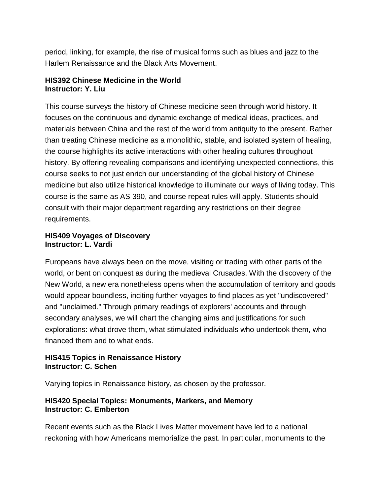period, linking, for example, the rise of musical forms such as blues and jazz to the Harlem Renaissance and the Black Arts Movement.

## **HIS392 Chinese Medicine in the World Instructor: Y. Liu**

This course surveys the history of Chinese medicine seen through world history. It focuses on the continuous and dynamic exchange of medical ideas, practices, and materials between China and the rest of the world from antiquity to the present. Rather than treating Chinese medicine as a monolithic, stable, and isolated system of healing, the course highlights its active interactions with other healing cultures throughout history. By offering revealing comparisons and identifying unexpected connections, this course seeks to not just enrich our understanding of the global history of Chinese medicine but also utilize historical knowledge to illuminate our ways of living today. This course is the same as AS [390,](https://catalog.buffalo.edu/courses/?abbr=AS&num=390) and course repeat rules will apply. Students should consult with their major department regarding any restrictions on their degree requirements.

#### **HIS409 Voyages of Discovery Instructor: L. Vardi**

Europeans have always been on the move, visiting or trading with other parts of the world, or bent on conquest as during the medieval Crusades. With the discovery of the New World, a new era nonetheless opens when the accumulation of territory and goods would appear boundless, inciting further voyages to find places as yet "undiscovered" and "unclaimed." Through primary readings of explorers' accounts and through secondary analyses, we will chart the changing aims and justifications for such explorations: what drove them, what stimulated individuals who undertook them, who financed them and to what ends.

#### **HIS415 Topics in Renaissance History Instructor: C. Schen**

Varying topics in Renaissance history, as chosen by the professor.

# **HIS420 Special Topics: Monuments, Markers, and Memory Instructor: C. Emberton**

Recent events such as the Black Lives Matter movement have led to a national reckoning with how Americans memorialize the past. In particular, monuments to the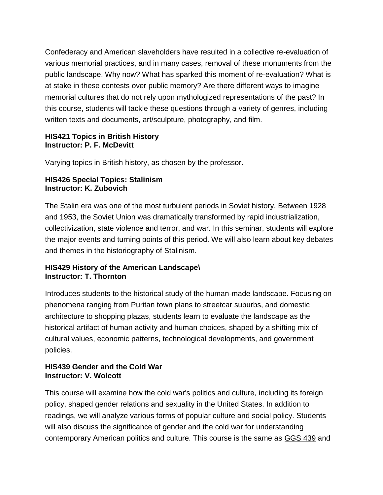Confederacy and American slaveholders have resulted in a collective re-evaluation of various memorial practices, and in many cases, removal of these monuments from the public landscape. Why now? What has sparked this moment of re-evaluation? What is at stake in these contests over public memory? Are there different ways to imagine memorial cultures that do not rely upon mythologized representations of the past? In this course, students will tackle these questions through a variety of genres, including written texts and documents, art/sculpture, photography, and film.

#### **HIS421 Topics in British History Instructor: P. F. McDevitt**

Varying topics in British history, as chosen by the professor.

#### **HIS426 Special Topics: Stalinism Instructor: K. Zubovich**

The Stalin era was one of the most turbulent periods in Soviet history. Between 1928 and 1953, the Soviet Union was dramatically transformed by rapid industrialization, collectivization, state violence and terror, and war. In this seminar, students will explore the major events and turning points of this period. We will also learn about key debates and themes in the historiography of Stalinism.

#### **HIS429 History of the American Landscape\ Instructor: T. Thornton**

Introduces students to the historical study of the human-made landscape. Focusing on phenomena ranging from Puritan town plans to streetcar suburbs, and domestic architecture to shopping plazas, students learn to evaluate the landscape as the historical artifact of human activity and human choices, shaped by a shifting mix of cultural values, economic patterns, technological developments, and government policies.

# **HIS439 Gender and the Cold War Instructor: V. Wolcott**

This course will examine how the cold war's politics and culture, including its foreign policy, shaped gender relations and sexuality in the United States. In addition to readings, we will analyze various forms of popular culture and social policy. Students will also discuss the significance of gender and the cold war for understanding contemporary American politics and culture. This course is the same as [GGS](https://catalog.buffalo.edu/courses/?abbr=GGS&num=439) 439 and